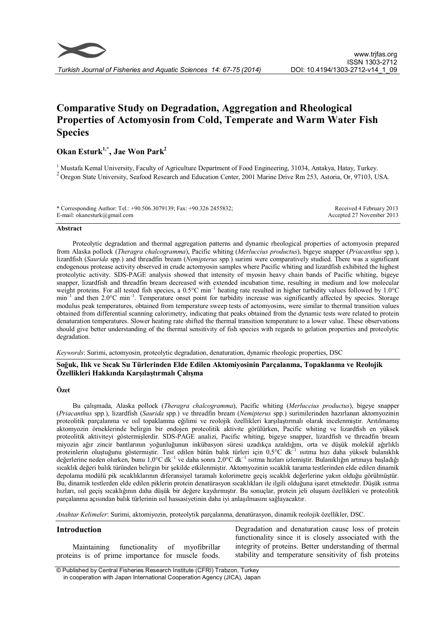

# Comparative Study on Degradation, Aggregation and Rheological Properties of Actomyosin from Cold, Temperate and Warm Water Fish **Species**

# Okan Esturk<sup>1,\*</sup>, Jae Won Park<sup>2</sup>

<sup>1</sup> Mustafa Kemal University, Faculty of Agriculture Department of Food Engineering, 31034, Antakya, Hatay, Turkey.<br><sup>2</sup> Oregon State University, Seafood Research and Education Center, 2001 Marine Drive Rm 253, Astoria, Or

| * Corresponding Author: Tel.: +90.506.3079139; Fax: +90.326 2455832; | Received 4 February 2013  |
|----------------------------------------------------------------------|---------------------------|
| E-mail: okanesturk@gmail.com                                         | Accepted 27 November 2013 |

#### Abstract

Proteolytic degradation and thermal aggregation patterns and dynamic rheological properties of actomyosin prepared from Alaska pollock (Theragra chalcogramma), Pacific whiting (Merluccius productus), bigeye snapper (Priacanthus spp.), lizardfish (Saurida spp.) and threadfin bream (Nemipterus spp.) surimi were comparatively studied. There was a significant endogenous protease activity observed in crude actomyosin samples where Pacific whiting and lizardfish exhibited the highest proteolytic activity. SDS-PAGE analysis showed that intensity of myosin heavy chain bands of Pacific whiting, bigeye snapper, lizardfish and threadfin bream decreased with extended incubation time, resulting in medium and low molecular weight proteins. For all tested fish species, a  $0.5^{\circ}$ C min<sup>-1</sup> heating rate resulted in higher turbidity values followed by 1.0°C min<sup>-1</sup> and then 2.0°C min<sup>-1</sup>. Temperature onset point for turbidity increase was significantly affected by species. Storage modulus peak temperatures, obtained from temperature sweep tests of actomyosins, were similar to thermal transition values obtained from differential scanning calorimetry, indicating that peaks obtained from the dynamic tests were related to protein denaturation temperatures. Slower heating rate shifted the thermal transition temperature to a lower value. These observations should give better understanding of the thermal sensitivity of fish species with regards to gelation properties and proteolytic degradation.

Keywords: Surimi, actomyosin, proteolytic degradation, denaturation, dynamic rheologic properties, DSC

# Soğuk, Ilık ve Sıcak Su Türlerinden Elde Edilen Aktomiyosinin Parçalanma, Topaklanma ve Reolojik Özellikleri Hakkında Karşılaştırmalı Çalışma

## Özet

Bu çalışmada, Alaska pollock (Theragra chalcogramma), Pacific whiting (Merluccius productus), bigeye snapper (Priacanthus spp.), lizardfish (Saurida spp.) ve threadfin bream (Nemipterus spp.) surimilerinden hazırlanan aktomyozinin proteolitik parçalanma ve ısıl topaklanma eğilimi ve reolojik özellikleri karşılaştırmalı olarak incelenmiştir. Arıtılmamış aktomyozin örneklerinde belirgin bir endojen proteolitik aktivite görülürken, Pacific whiting ve lizardfish en yüksek proteolitik aktiviteyi göstermişlerdir. SDS-PAGE analizi, Pacific whiting, bigeye snapper, lizardfish ve threadfin bream miyozin ağır zincir bantlarının yoğunluğunun inkübasyon süresi uzadıkça azaldığını, orta ve düşük molekül ağırlıklı proteinlerin oluştuğunu göstermiştir. Test edilen bütün balık türleri için 0,5°C dk–1 ısıtma hızı daha yüksek bulanıklık değerlerine neden olurken, bunu 1,0°C dk–1 ve daha sonra 2,0°C dk–1 ısıtma hızları izlemiştir. Bulanıklığın artmaya başladığı sıcaklık değeri balık türünden belirgin bir şekilde etkilenmiştir. Aktomyozinin sıcaklık tarama testlerinden elde edilen dinamik depolama modülü pik sıcaklıklarının diferansiyel taramalı kolorimetre geçiş sıcaklık değerlerine yakın olduğu görülmüştür. Bu, dinamik testlerden elde edilen piklerin protein denatürasyon sıcaklıkları ile ilgili olduğuna işaret etmektedir. Düşük ısıtma hızları, ısıl geçiş sıcaklığının daha düşük bir değere kaydırmıştır. Bu sonuçlar, protein jeli oluşum özellikleri ve proteolitik parçalanma açısından balık türlerinin ısıl hassasiyetinin daha iyi anlaşılmasını sağlayacaktır.

Anahtar Kelimeler: Surimi, aktomiyozin, proteolytik parçalanma, denatürasyon, dinamik reolojik özellikler, DSC.

## Introduction

Maintaining functionality of myofibrillar proteins is of prime importance for muscle foods.

Degradation and denaturation cause loss of protein functionality since it is closely associated with the integrity of proteins. Better understanding of thermal stability and temperature sensitivity of fish proteins

© Published by Central Fisheries Research Institute (CFRI) Trabzon, Turkey in cooperation with Japan International Cooperation Agency (JICA), Japan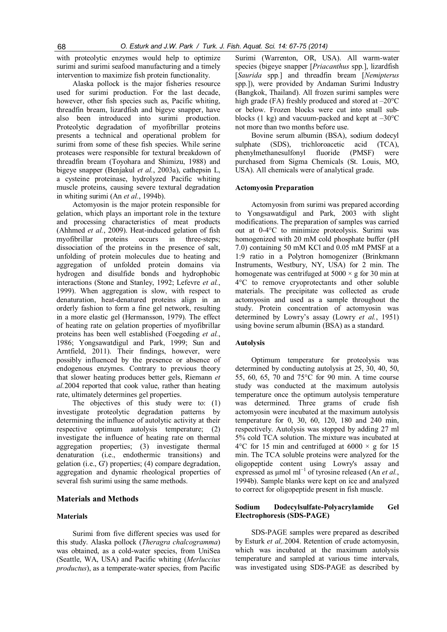with proteolytic enzymes would help to optimize surimi and surimi seafood manufacturing and a timely intervention to maximize fish protein functionality.

Alaska pollock is the major fisheries resource used for surimi production. For the last decade, however, other fish species such as, Pacific whiting, threadfin bream, lizardfish and bigeye snapper, have also been introduced into surimi production. Proteolytic degradation of myofibrillar proteins presents a technical and operational problem for surimi from some of these fish species. While serine proteases were responsible for textural breakdown of threadfin bream (Toyohara and Shimizu, 1988) and bigeye snapper (Benjakul et al., 2003a), cathepsin L, a cysteine proteinase, hydrolyzed Pacific whiting muscle proteins, causing severe textural degradation in whiting surimi (An *et al.*, 1994b).

Actomyosin is the major protein responsible for gelation, which plays an important role in the texture and processing characteristics of meat products (Ahhmed et al., 2009). Heat-induced gelation of fish myofibrillar proteins occurs in three-steps; dissociation of the proteins in the presence of salt, unfolding of protein molecules due to heating and aggregation of unfolded protein domains via hydrogen and disulfide bonds and hydrophobic interactions (Stone and Stanley, 1992; Lefevre et al., 1999). When aggregation is slow, with respect to denaturation, heat-denatured proteins align in an orderly fashion to form a fine gel network, resulting in a more elastic gel (Hermansson, 1979). The effect of heating rate on gelation properties of myofibrillar proteins has been well established (Foegeding et al., 1986; Yongsawatdigul and Park, 1999; Sun and Arntfield, 2011). Their findings, however, were possibly influenced by the presence or absence of endogenous enzymes. Contrary to previous theory that slower heating produces better gels, Riemann et al.2004 reported that cook value, rather than heating rate, ultimately determines gel properties.

The objectives of this study were to: (1) investigate proteolytic degradation patterns by determining the influence of autolytic activity at their respective optimum autolysis temperature; (2) investigate the influence of heating rate on thermal aggregation properties; (3) investigate thermal denaturation (i.e., endothermic transitions) and gelation (i.e., G') properties; (4) compare degradation, aggregation and dynamic rheological properties of several fish surimi using the same methods.

## Materials and Methods

## Materials

Surimi from five different species was used for this study. Alaska pollock (Theragra chalcogramma) was obtained, as a cold-water species, from UniSea (Seattle, WA, USA) and Pacific whiting (Merluccius productus), as a temperate-water species, from Pacific

Surimi (Warrenton, OR, USA). All warm-water species (bigeye snapper [*Priacanthus* spp.], lizardfish [Saurida spp.] and threadfin bream [Nemipterus] spp.]), were provided by Andaman Surimi Industry (Bangkok, Thailand). All frozen surimi samples were high grade (FA) freshly produced and stored at  $-20^{\circ}$ C or below. Frozen blocks were cut into small subblocks (1 kg) and vacuum-packed and kept at  $-30^{\circ}$ C not more than two months before use.

Bovine serum albumin (BSA), sodium dodecyl sulphate (SDS), trichloroacetic acid (TCA), phenylmethanesulfonyl fluoride (PMSF) were purchased from Sigma Chemicals (St. Louis, MO, USA). All chemicals were of analytical grade.

#### Actomyosin Preparation

Actomyosin from surimi was prepared according to Yongsawatdigul and Park, 2003 with slight modifications. The preparation of samples was carried out at 0-4°C to minimize proteolysis. Surimi was homogenized with 20 mM cold phosphate buffer (pH 7.0) containing 50 mM KCl and 0.05 mM PMSF at a 1:9 ratio in a Polytron homogenizer (Brinkmann Instruments, Westbury, NY, USA) for 2 min. The homogenate was centrifuged at  $5000 \times g$  for 30 min at 4°C to remove cryoprotectants and other soluble materials. The precipitate was collected as crude actomyosin and used as a sample throughout the study. Protein concentration of actomyosin was determined by Lowry's assay (Lowry et al., 1951) using bovine serum albumin (BSA) as a standard.

#### Autolysis

Optimum temperature for proteolysis was determined by conducting autolysis at 25, 30, 40, 50, 55, 60, 65, 70 and 75°C for 90 min. A time course study was conducted at the maximum autolysis temperature once the optimum autolysis temperature was determined. Three grams of crude fish actomyosin were incubated at the maximum autolysis temperature for 0, 30, 60, 120, 180 and 240 min, respectively. Autolysis was stopped by adding 27 ml 5% cold TCA solution. The mixture was incubated at  $4^{\circ}$ C for 15 min and centrifuged at 6000  $\times$  g for 15 min. The TCA soluble proteins were analyzed for the oligopeptide content using Lowry's assay and expressed as  $\mu$ mol ml<sup>-1</sup> of tyrosine released (An et al., 1994b). Sample blanks were kept on ice and analyzed to correct for oligopeptide present in fish muscle.

### Sodium Dodecylsulfate-Polyacrylamide Gel Electrophoresis (SDS-PAGE)

SDS-PAGE samples were prepared as described by Esturk et al,.2004. Retention of crude actomyosin, which was incubated at the maximum autolysis temperature and sampled at various time intervals, was investigated using SDS-PAGE as described by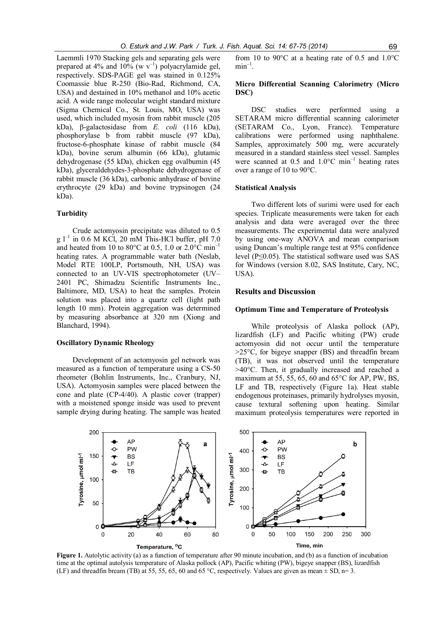Laemmli 1970 Stacking gels and separating gels were prepared at 4% and 10% (w  $v^{-1}$ ) polyacrylamide gel, respectively. SDS-PAGE gel was stained in 0.125% Coomassie blue R-250 (Bio-Rad, Richmond, CA, USA) and destained in 10% methanol and 10% acetic acid. A wide range molecular weight standard mixture (Sigma Chemical Co., St. Louis, MO, USA) was used, which included myosin from rabbit muscle (205 kDa), β-galactosidase from E. coli (116 kDa), phosphorylase b from rabbit muscle (97 kDa), fructose-6-phosphate kinase of rabbit muscle (84 kDa), bovine serum albumin (66 kDa), glutamic dehydrogenase (55 kDa), chicken egg ovalbumin (45 kDa), glyceraldehydes-3-phosphate dehydrogenase of rabbit muscle (36 kDa), carbonic anhydrase of bovine erythrocyte (29 kDa) and bovine trypsinogen (24 kDa).

# **Turbidity**

Crude actomyosin precipitate was diluted to 0.5 g  $l^{-1}$  in 0.6 M KCl, 20 mM This-HCl buffer, pH 7.0 and heated from 10 to 80 $^{\circ}$ C at 0.5, 1.0 or 2.0 $^{\circ}$ C min<sup>-1</sup> heating rates. A programmable water bath (Neslab, Model RTE 100LP, Portsmouth, NH, USA) was connected to an UV-VIS spectrophotometer (UV– 2401 PC, Shimadzu Scientific Instruments Inc., Baltimore, MD, USA) to heat the samples. Protein solution was placed into a quartz cell (light path length 10 mm). Protein aggregation was determined by measuring absorbance at 320 nm (Xiong and Blanchard, 1994).

## Oscillatory Dynamic Rheology

Development of an actomyosin gel network was measured as a function of temperature using a CS-50 rheometer (Bohlin Instruments, Inc., Cranbury, NJ, USA). Actomyosin samples were placed between the cone and plate (CP-4/40). A plastic cover (trapper) with a moistened sponge inside was used to prevent sample drying during heating. The sample was heated from 10 to 90°C at a heating rate of 0.5 and 1.0°C  $min^{-1}$ .

# Micro Differential Scanning Calorimetry (Micro DSC)

DSC studies were performed using a SETARAM micro differential scanning calorimeter (SETARAM Co., Lyon, France). Temperature calibrations were performed using naphthalene. Samples, approximately 500 mg, were accurately measured in a standard stainless steel vessel. Samples were scanned at  $0.5$  and  $1.0^{\circ}$ C min<sup>-1</sup> heating rates over a range of 10 to 90°C.

#### Statistical Analysis

Two different lots of surimi were used for each species. Triplicate measurements were taken for each analysis and data were averaged over the three measurements. The experimental data were analyzed by using one-way ANOVA and mean comparison using Duncan's multiple range test at 95% confidence level (P≤0.05). The statistical software used was SAS for Windows (version 8.02, SAS Institute, Cary, NC, USA).

# Results and Discussion

#### Optimum Time and Temperature of Proteolysis

While proteolysis of Alaska pollock (AP), lizardfish (LF) and Pacific whiting (PW) crude actomyosin did not occur until the temperature  $>25^{\circ}$ C, for bigeye snapper (BS) and threadfin bream (TB), it was not observed until the temperature >40°C. Then, it gradually increased and reached a maximum at 55, 55, 65, 60 and 65°C for AP, PW, BS, LF and TB, respectively (Figure 1a). Heat stable endogenous proteinases, primarily hydrolyses myosin, cause textural softening upon heating. Similar maximum proteolysis temperatures were reported in



Figure 1. Autolytic activity (a) as a function of temperature after 90 minute incubation, and (b) as a function of incubation time at the optimal autolysis temperature of Alaska pollock (AP), Pacific whiting (PW), bigeye snapper (BS), lizardfish (LF) and threadfin bream (TB) at 55, 55, 65, 60 and 65 °C, respectively. Values are given as mean  $\pm$  SD, n= 3.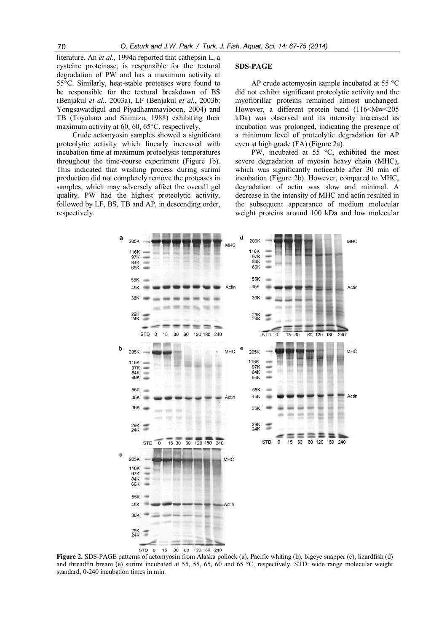literature. An et al., 1994a reported that cathepsin L, a cysteine proteinase, is responsible for the textural degradation of PW and has a maximum activity at 55°C. Similarly, heat-stable proteases were found to be responsible for the textural breakdown of BS (Benjakul et al., 2003a), LF (Benjakul et al., 2003b; Yongsawatdigul and Piyadhammaviboon, 2004) and TB (Toyohara and Shimizu, 1988) exhibiting their maximum activity at 60, 60, 65°C, respectively.

Crude actomyosin samples showed a significant proteolytic activity which linearly increased with incubation time at maximum proteolysis temperatures throughout the time-course experiment (Figure 1b). This indicated that washing process during surimi production did not completely remove the proteases in samples, which may adversely affect the overall gel quality. PW had the highest proteolytic activity, followed by LF, BS, TB and AP, in descending order, respectively.

#### SDS-PAGE

AP crude actomyosin sample incubated at 55 °C did not exhibit significant proteolytic activity and the myofibrillar proteins remained almost unchanged. However, a different protein band (116<Mw<205 kDa) was observed and its intensity increased as incubation was prolonged, indicating the presence of a minimum level of proteolytic degradation for AP even at high grade (FA) (Figure 2a).

PW, incubated at 55 °C, exhibited the most severe degradation of myosin heavy chain (MHC), which was significantly noticeable after 30 min of incubation (Figure 2b). However, compared to MHC, degradation of actin was slow and minimal. A decrease in the intensity of MHC and actin resulted in the subsequent appearance of medium molecular weight proteins around 100 kDa and low molecular



Figure 2. SDS-PAGE patterns of actomyosin from Alaska pollock (a), Pacific whiting (b), bigeye snapper (c), lizardfish (d) and threadfin bream (e) surimi incubated at 55, 55, 65, 60 and 65 °C, respectively. STD: wide range molecular weight standard, 0-240 incubation times in min.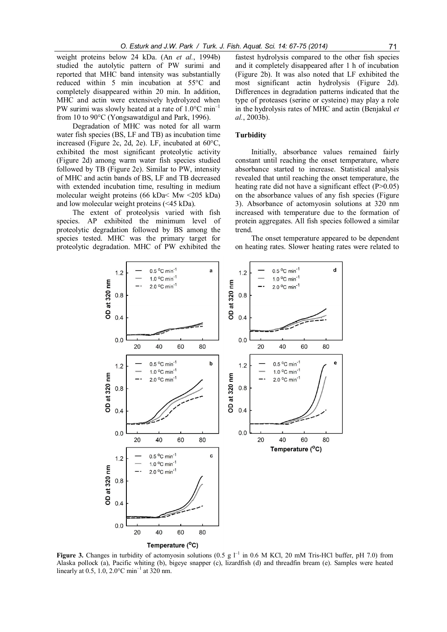weight proteins below 24 kDa. (An et al., 1994b) studied the autolytic pattern of PW surimi and reported that MHC band intensity was substantially reduced within 5 min incubation at 55°C and completely disappeared within 20 min. In addition, MHC and actin were extensively hydrolyzed when PW surimi was slowly heated at a rate of 1.0°C min–1

from 10 to 90°C (Yongsawatdigul and Park, 1996). Degradation of MHC was noted for all warm water fish species (BS, LF and TB) as incubation time increased (Figure 2c, 2d, 2e). LF, incubated at 60°C, exhibited the most significant proteolytic activity (Figure 2d) among warm water fish species studied followed by TB (Figure 2e). Similar to PW, intensity of MHC and actin bands of BS, LF and TB decreased with extended incubation time, resulting in medium molecular weight proteins (66 kDa< Mw <205 kDa) and low molecular weight proteins (<45 kDa).

The extent of proteolysis varied with fish species. AP exhibited the minimum level of proteolytic degradation followed by BS among the species tested. MHC was the primary target for proteolytic degradation. MHC of PW exhibited the

fastest hydrolysis compared to the other fish species and it completely disappeared after 1 h of incubation (Figure 2b). It was also noted that LF exhibited the most significant actin hydrolysis (Figure 2d). Differences in degradation patterns indicated that the type of proteases (serine or cysteine) may play a role in the hydrolysis rates of MHC and actin (Benjakul et al., 2003b).

# **Turbidity**

Initially, absorbance values remained fairly constant until reaching the onset temperature, where absorbance started to increase. Statistical analysis revealed that until reaching the onset temperature, the heating rate did not have a significant effect (P>0.05) on the absorbance values of any fish species (Figure 3). Absorbance of actomyosin solutions at 320 nm increased with temperature due to the formation of protein aggregates. All fish species followed a similar trend.

The onset temperature appeared to be dependent on heating rates. Slower heating rates were related to



Figure 3. Changes in turbidity of actomyosin solutions (0.5 g  $I^{-1}$  in 0.6 M KCl, 20 mM Tris-HCl buffer, pH 7.0) from Alaska pollock (a), Pacific whiting (b), bigeye snapper (c), lizardfish (d) and threadfin bream (e). Samples were heated linearly at 0.5, 1.0, 2.0 $^{\circ}$ C min<sup>-1</sup> at 320 nm.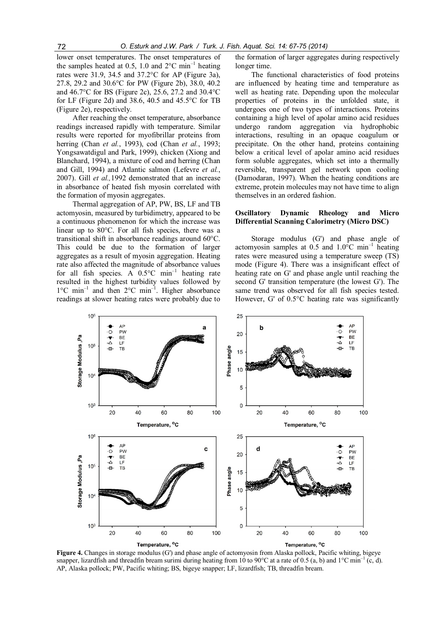lower onset temperatures. The onset temperatures of the samples heated at 0.5, 1.0 and  $2^{\circ}$ C min<sup>-1</sup> heating rates were 31.9, 34.5 and 37.2°C for AP (Figure 3a), 27.8, 29.2 and 30.6°C for PW (Figure 2b), 38.0, 40.2 and 46.7°C for BS (Figure 2c), 25.6, 27.2 and 30.4°C for LF (Figure 2d) and 38.6, 40.5 and 45.5°C for TB (Figure 2e), respectively.

After reaching the onset temperature, absorbance readings increased rapidly with temperature. Similar results were reported for myofibrillar proteins from herring (Chan et al., 1993), cod (Chan et al., 1993; Yongsawatdigul and Park, 1999), chicken (Xiong and Blanchard, 1994), a mixture of cod and herring (Chan and Gill, 1994) and Atlantic salmon (Lefevre et al., 2007). Gill et al.,1992 demonstrated that an increase in absorbance of heated fish myosin correlated with the formation of myosin aggregates.

Thermal aggregation of AP, PW, BS, LF and TB actomyosin, measured by turbidimetry, appeared to be a continuous phenomenon for which the increase was linear up to 80°C. For all fish species, there was a transitional shift in absorbance readings around 60°C. This could be due to the formation of larger aggregates as a result of myosin aggregation. Heating rate also affected the magnitude of absorbance values for all fish species. A  $0.5^{\circ}$ C min<sup>-1</sup> heating rate resulted in the highest turbidity values followed by 1°C min–1 and then 2°C min–1 . Higher absorbance readings at slower heating rates were probably due to

the formation of larger aggregates during respectively longer time.

The functional characteristics of food proteins are influenced by heating time and temperature as well as heating rate. Depending upon the molecular properties of proteins in the unfolded state, it undergoes one of two types of interactions. Proteins containing a high level of apolar amino acid residues undergo random aggregation via hydrophobic interactions, resulting in an opaque coagulum or precipitate. On the other hand, proteins containing below a critical level of apolar amino acid residues form soluble aggregates, which set into a thermally reversible, transparent gel network upon cooling (Damodaran, 1997). When the heating conditions are extreme, protein molecules may not have time to align themselves in an ordered fashion.

## Oscillatory Dynamic Rheology and Micro Differential Scanning Calorimetry (Micro DSC)

Storage modulus (G') and phase angle of actomyosin samples at  $0.5$  and  $1.0^{\circ}$ C min<sup>-1</sup> heating rates were measured using a temperature sweep (TS) mode (Figure 4). There was a insignificant effect of heating rate on G' and phase angle until reaching the second G' transition temperature (the lowest G'). The same trend was observed for all fish species tested. However, G' of 0.5°C heating rate was significantly



Figure 4. Changes in storage modulus (G') and phase angle of actomyosin from Alaska pollock, Pacific whiting, bigeye snapper, lizardfish and threadfin bream surimi during heating from 10 to 90°C at a rate of 0.5 (a, b) and 1°C min<sup>-1</sup> (c, d). AP, Alaska pollock; PW, Pacific whiting; BS, bigeye snapper; LF, lizardfish; TB, threadfin bream.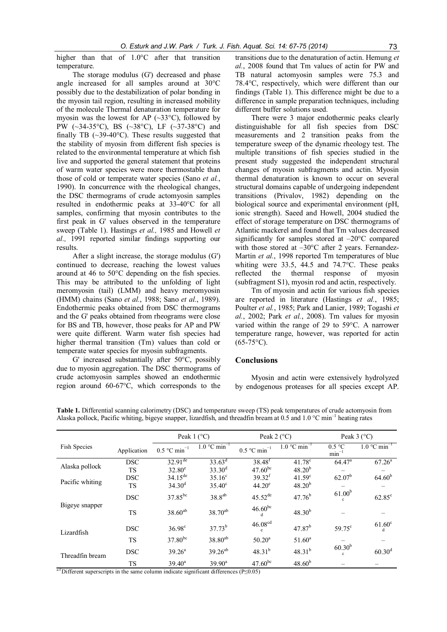higher than that of 1.0°C after that transition temperature.

The storage modulus (G') decreased and phase angle increased for all samples around at 30°C possibly due to the destabilization of polar bonding in the myosin tail region, resulting in increased mobility of the molecule Thermal denaturation temperature for myosin was the lowest for AP  $(\sim 33^{\circ}C)$ , followed by PW (~34-35°C), BS (~38°C), LF (~37-38°C) and finally TB  $(\sim 39-40^{\circ}\text{C})$ . These results suggested that the stability of myosin from different fish species is related to the environmental temperature at which fish live and supported the general statement that proteins of warm water species were more thermostable than those of cold or temperate water species (Sano *et al.*, 1990). In concurrence with the rheological changes, the DSC thermograms of crude actomyosin samples resulted in endothermic peaks at 33-40°C for all samples, confirming that myosin contributes to the first peak in G' values observed in the temperature sweep (Table 1). Hastings et al., 1985 and Howell et al., 1991 reported similar findings supporting our results.

After a slight increase, the storage modulus (G') continued to decrease, reaching the lowest values around at 46 to 50°C depending on the fish species. This may be attributed to the unfolding of light meromyosin (tail) (LMM) and heavy meromyosin (HMM) chains (Sano et al., 1988; Sano et al., 1989). Endothermic peaks obtained from DSC thermograms and the G' peaks obtained from rheograms were close for BS and TB, however, those peaks for AP and PW were quite different. Warm water fish species had higher thermal transition (Tm) values than cold or temperate water species for myosin subfragments.

G' increased substantially after 50°C, possibly due to myosin aggregation. The DSC thermograms of crude actomyosin samples showed an endothermic region around 60-67°C, which corresponds to the

transitions due to the denaturation of actin. Hemung et al., 2008 found that Tm values of actin for PW and TB natural actomyosin samples were 75.3 and 78.4°C, respectively, which were different than our findings (Table 1). This difference might be due to a difference in sample preparation techniques, including different buffer solutions used.

There were 3 major endothermic peaks clearly distinguishable for all fish species from DSC measurements and 2 transition peaks from the temperature sweep of the dynamic rheology test. The multiple transitions of fish species studied in the present study suggested the independent structural changes of myosin subfragments and actin. Myosin thermal denaturation is known to occur on several structural domains capable of undergoing independent transitions (Privalov, 1982) depending on the biological source and experimental environment (pH, ionic strength). Saeed and Howell, 2004 studied the effect of storage temperature on DSC thermograms of Atlantic mackerel and found that Tm values decreased significantly for samples stored at –20°C compared with those stored at  $-30^{\circ}$ C after 2 years. Fernandez-Martin et al., 1998 reported Tm temperatures of blue whiting were 33.5, 44.5 and 74.7°C. These peaks reflected the thermal response of myosin (subfragment S1), myosin rod and actin, respectively.

Tm of myosin and actin for various fish species are reported in literature (Hastings et al., 1985; Poulter et al., 1985; Park and Lanier, 1989; Togashi et  $al., 2002$ ; Park et  $al., 2008$ ). Tm values for myosin varied within the range of 29 to 59°C. A narrower temperature range, however, was reported for actin  $(65-75\text{°C})$ .

## Conclusions

Myosin and actin were extensively hydrolyzed by endogenous proteases for all species except AP.

|                                            |             | Peak $1$ ( $^{\circ}$ C)   |                            | Peak $2$ ( $^{\circ}$ C)   |                            | Peak $3$ ( $^{\circ}$ C)           |                            |
|--------------------------------------------|-------------|----------------------------|----------------------------|----------------------------|----------------------------|------------------------------------|----------------------------|
| Fish Species                               | Application | $0.5$ °C min <sup>-1</sup> | $1.0$ °C min <sup>-1</sup> | $0.5$ °C min <sup>-1</sup> | $1.0$ °C min <sup>-1</sup> | 0.5 °C<br>$min^{-1}$               | $1.0$ °C min <sup>-1</sup> |
| Alaska pollock                             | <b>DSC</b>  | $32.91^{\text{de}}$        | $33.63^d$                  | $38.48^{f}$                | $41.78^c$                  | $64.\overline{47^a}$               | $67.26^a$                  |
|                                            | <b>TS</b>   | $32.80^e$                  | $33.30^{d}$                | $47.60^{bc}$               | 48.20 <sup>b</sup>         |                                    |                            |
| Pacific whiting                            | <b>DSC</b>  | $34.15^{de}$               | $35.16^{\circ}$            | $39.32^{f}$                | $41.59^{\circ}$            | $62.07^b$                          | $64.60^{b}$                |
|                                            | <b>TS</b>   | $34.30^d$                  | $35.40^{\circ}$            | $44.20^e$                  | $48.20^{b}$                |                                    |                            |
| Bigeye snapper                             | <b>DSC</b>  | 37.85bc                    | $38.8^{ab}$                | $45.52^{de}$               | $47.76^{b}$                | 61.00 <sup>b</sup><br>$\mathbf{c}$ | $62.85^{\circ}$            |
|                                            | <b>TS</b>   | $38.60^{ab}$               | 38.70 <sup>ab</sup>        | $46.60^{bc}$               | $48.30^{b}$                |                                    |                            |
| Lizardfish                                 | <b>DSC</b>  | $36.98^{\circ}$            | $37.73^{b}$                | 46.08 <sup>cd</sup>        | $47.87^{b}$                | $59.75^{\circ}$                    | $61.60^{\circ}$<br>d       |
|                                            | <b>TS</b>   | $37.80^{bc}$               | 38.80 <sup>ab</sup>        | $50.20^a$                  | $51.60^a$                  |                                    |                            |
| Threadfin bream<br>$\sim$ f $ \sim$ $\sim$ | <b>DSC</b>  | 39.26 <sup>a</sup>         | $39.26^{ab}$               | $48.31^{b}$                | $48.31^{b}$                | $60.30^{b}$<br>$\mathbf{c}$        | 60.30 <sup>d</sup>         |
|                                            | <b>TS</b>   | $39.40^a$                  | $39.90^a$                  | $47.60^{bc}$               | $48.60^{b}$                |                                    |                            |

Table 1. Differential scanning calorimetry (DSC) and temperature sweep (TS) peak temperatures of crude actomyosin from Alaska pollock, Pacific whiting, bigeye snapper, lizardfish, and threadfin bream at 0.5 and  $1.0 \degree$ C min<sup>-1</sup> heating rates

<sup>a-f</sup> Different superscripts in the same column indicate significant differences (P≤0.05)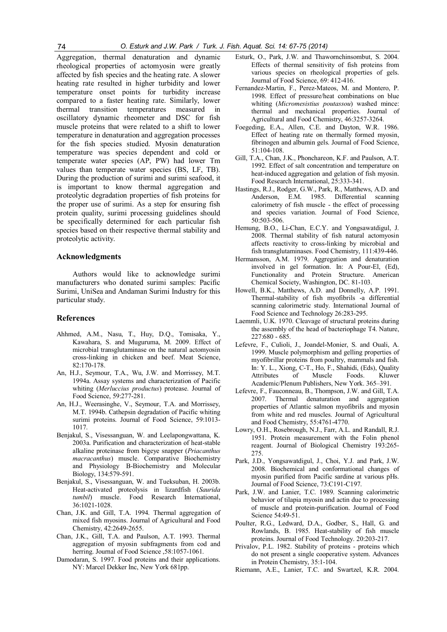Aggregation, thermal denaturation and dynamic rheological properties of actomyosin were greatly affected by fish species and the heating rate. A slower heating rate resulted in higher turbidity and lower temperature onset points for turbidity increase compared to a faster heating rate. Similarly, lower thermal transition temperatures measured in oscillatory dynamic rheometer and DSC for fish muscle proteins that were related to a shift to lower temperature in denaturation and aggregation processes for the fish species studied. Myosin denaturation temperature was species dependent and cold or temperate water species (AP, PW) had lower Tm values than temperate water species (BS, LF, TB). During the production of surimi and surimi seafood, it is important to know thermal aggregation and proteolytic degradation properties of fish proteins for the proper use of surimi. As a step for ensuring fish protein quality, surimi processing guidelines should be specifically determined for each particular fish species based on their respective thermal stability and proteolytic activity.

#### Acknowledgments

Authors would like to acknowledge surimi manufacturers who donated surimi samples: Pacific Surimi, UniSea and Andaman Surimi Industry for this particular study.

# References

- Ahhmed, A.M., Nasu, T., Huy, D.Q., Tomisaka, Y., Kawahara, S. and Muguruma, M. 2009. Effect of microbial transglutaminase on the natural actomyosin cross-linking in chicken and beef. Meat Science, 82:170-178.
- An, H.J., Seymour, T.A., Wu, J.W. and Morrissey, M.T. 1994a. Assay systems and characterization of Pacific whiting (Merluccius productus) protease. Journal of Food Science, 59:277-281.
- An, H.J., Weerasinghe, V., Seymour, T.A. and Morrissey, M.T. 1994b. Cathepsin degradation of Pacific whiting surimi proteins. Journal of Food Science, 59:1013- 1017.
- Benjakul, S., Visessanguan, W. and Leelapongwattana, K. 2003a. Purification and characterization of heat-stable alkaline proteinase from bigeye snapper (Priacanthus macracanthus) muscle. Comparative Biochemistry and Physiology B-Biochemistry and Molecular Biology, 134:579-591.
- Benjakul, S., Visessanguan, W. and Tueksuban, H. 2003b. Heat-activated proteolysis in lizardfish (Saurida tumbil) muscle. Food Research International, 36:1021-1028.
- Chan, J.K. and Gill, T.A. 1994. Thermal aggregation of mixed fish myosins. Journal of Agricultural and Food Chemistry, 42:2649-2655.
- Chan, J.K., Gill, T.A. and Paulson, A.T. 1993. Thermal aggregation of myosin subfragments from cod and herring. Journal of Food Science ,58:1057-1061.
- Damodaran, S. 1997. Food proteins and their applications. NY: Marcel Dekker Inc, New York 681pp.
- Esturk, O., Park, J.W. and Thawornchinsombut, S. 2004. Effects of thermal sensitivity of fish proteins from various species on rheological properties of gels. Journal of Food Science, 69: 412-416.
- Fernandez-Martin, F., Perez-Mateos, M. and Montero, P. 1998. Effect of pressure/heat combinations on blue whiting (Micromesistius poutassou) washed mince: thermal and mechanical properties. Journal of Agricultural and Food Chemistry, 46:3257-3264.
- Foegeding, E.A., Allen, C.E. and Dayton, W.R. 1986. Effect of heating rate on thermally formed myosin, fibrinogen and albumin gels. Journal of Food Science, 51:104-108.
- Gill, T.A., Chan, J.K., Phonchareon, K.F. and Paulson, A.T. 1992. Effect of salt concentration and temperature on heat-induced aggregation and gelation of fish myosin. Food Research International, 25:333-341.
- Hastings, R.J., Rodger, G.W., Park, R., Matthews, A.D. and Anderson, E.M. 1985. Differential scanning calorimetry of fish muscle - the effect of processing and species variation. Journal of Food Science, 50:503-506.
- Hemung, B.O., Li-Chan, E.C.Y. and Yongsawatdigul, J. 2008. Thermal stability of fish natural actomyosin affects reactivity to cross-linking by microbial and fish transglutaminases. Food Chemistry, 111:439-446.
- Hermansson, A.M. 1979. Aggregation and denaturation involved in gel formation. In: A Pour-El, (Ed), Functionality and Protein Structure. American Chemical Society, Washington, DC. 81-103.
- Howell, B.K., Matthews, A.D. and Donnelly, A.P. 1991. Thermal-stability of fish myofibrils -a differential scanning calorimetric study. International Journal of Food Science and Technology 26:283-295.
- Laemmli, U.K. 1970. Cleavage of structural proteins during the assembly of the head of bacteriophage T4. Nature, 227:680 - 685.
- Lefevre, F., Culioli, J., Joandel-Monier, S. and Ouali, A. 1999. Muscle polymorphism and gelling properties of myofibrillar proteins from poultry, mammals and fish. In: Y. L., Xiong, C-T., Ho, F., Shahidi, (Eds), Quality Attributes of Muscle Foods Kluwer Academic/Plenum Publishers, New York. 365–391.
- Lefevre, F., Fauconneau, B., Thompson, J.W. and Gill, T.A. 2007. Thermal denaturation and aggregation properties of Atlantic salmon myofibrils and myosin from white and red muscles. Journal of Agricultural and Food Chemistry, 55:4761-4770.
- Lowry, O.H., Rosebrough, N.J., Farr, A.L. and Randall, R.J. 1951. Protein measurement with the Folin phenol reagent. Journal of Biological Chemistry 193:265- 275.
- Park, J.D., Yongsawatdigul, J., Choi, Y.J. and Park, J.W. 2008. Biochemical and conformational changes of myosin purified from Pacific sardine at various pHs. Journal of Food Science, 73:C191-C197.
- Park, J.W. and Lanier, T.C. 1989. Scanning calorimetric behavior of tilapia myosin and actin due to processing of muscle and protein-purification. Journal of Food Science 54:49-51.
- Poulter, R.G., Ledward, D.A., Godber, S., Hall, G. and Rowlands, B. 1985. Heat-stability of fish muscle proteins. Journal of Food Technology. 20:203-217.
- Privalov, P.L. 1982. Stability of proteins proteins which do not present a single cooperative system. Advances in Protein Chemistry, 35:1-104.
- Riemann, A.E., Lanier, T.C. and Swartzel, K.R. 2004.